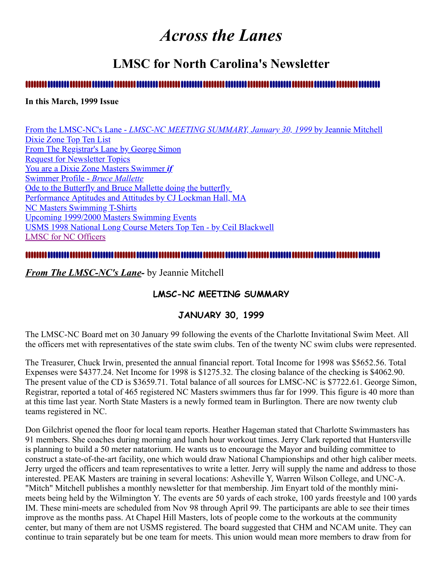# *Across the Lanes*

## **LMSC for North Carolina's Newsletter**

## 

### **In this March, 1999 Issue**

From the LMSC-NC's Lane - *[LMSC-NC MEETING SUMMARY, January 30, 1999](#page-0-0)* by Jeannie Mitchell [Dixie Zone Top Ten List](#page-2-0) [From The Registrar's Lane by George Simon](#page-2-1) [Request for Newsletter Topics](#page-3-0) [You are a Dixie Zone Masters Swimmer](#page-3-1) *if* [Swimmer Profile -](#page-3-2) *Bruce Mallette* [Ode to the Butterfly and Bruce Mallette doing the butterfly](http://ncmasters.org/butterfly.html)  [Performance Aptitudes and Attitudes by CJ Lockman Hall, MA](#page-4-0) [NC Masters Swimming T-Shirts](#page-5-0) [Upcoming 1999/2000 Masters Swimming Events](#page-6-0) [USMS 1998 National Long Course Meters Top Ten - by Ceil Blackwell](#page-6-1) [LMSC for NC Officers](#page-8-0)

## 

## <span id="page-0-0"></span>*From The LMSC-NC's Lane-* by Jeannie Mitchell

## **LMSC-NC MEETING SUMMARY**

## **JANUARY 30, 1999**

The LMSC-NC Board met on 30 January 99 following the events of the Charlotte Invitational Swim Meet. All the officers met with representatives of the state swim clubs. Ten of the twenty NC swim clubs were represented.

The Treasurer, Chuck Irwin, presented the annual financial report. Total Income for 1998 was \$5652.56. Total Expenses were \$4377.24. Net Income for 1998 is \$1275.32. The closing balance of the checking is \$4062.90. The present value of the CD is \$3659.71. Total balance of all sources for LMSC-NC is \$7722.61. George Simon, Registrar, reported a total of 465 registered NC Masters swimmers thus far for 1999. This figure is 40 more than at this time last year. North State Masters is a newly formed team in Burlington. There are now twenty club teams registered in NC.

Don Gilchrist opened the floor for local team reports. Heather Hageman stated that Charlotte Swimmasters has 91 members. She coaches during morning and lunch hour workout times. Jerry Clark reported that Huntersville is planning to build a 50 meter natatorium. He wants us to encourage the Mayor and building committee to construct a state-of-the-art facility, one which would draw National Championships and other high caliber meets. Jerry urged the officers and team representatives to write a letter. Jerry will supply the name and address to those interested. PEAK Masters are training in several locations: Asheville Y, Warren Wilson College, and UNC-A. "Mitch" Mitchell publishes a monthly newsletter for that membership. Jim Enyart told of the monthly minimeets being held by the Wilmington Y. The events are 50 yards of each stroke, 100 yards freestyle and 100 yards IM. These mini-meets are scheduled from Nov 98 through April 99. The participants are able to see their times improve as the months pass. At Chapel Hill Masters, lots of people come to the workouts at the community center, but many of them are not USMS registered. The board suggested that CHM and NCAM unite. They can continue to train separately but be one team for meets. This union would mean more members to draw from for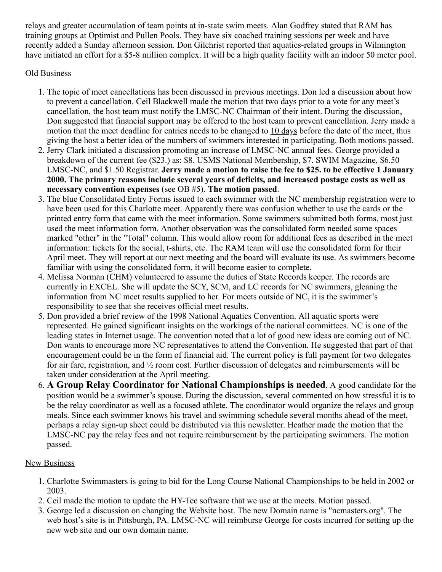relays and greater accumulation of team points at in-state swim meets. Alan Godfrey stated that RAM has training groups at Optimist and Pullen Pools. They have six coached training sessions per week and have recently added a Sunday afternoon session. Don Gilchrist reported that aquatics-related groups in Wilmington have initiated an effort for a \$5-8 million complex. It will be a high quality facility with an indoor 50 meter pool.

## Old Business

- 1. The topic of meet cancellations has been discussed in previous meetings. Don led a discussion about how to prevent a cancellation. Ceil Blackwell made the motion that two days prior to a vote for any meet's cancellation, the host team must notify the LMSC-NC Chairman of their intent. During the discussion, Don suggested that financial support may be offered to the host team to prevent cancellation. Jerry made a motion that the meet deadline for entries needs to be changed to 10 days before the date of the meet, thus giving the host a better idea of the numbers of swimmers interested in participating. Both motions passed.
- 2. Jerry Clark initiated a discussion promoting an increase of LMSC-NC annual fees. George provided a breakdown of the current fee (\$23.) as: \$8. USMS National Membership, \$7. SWIM Magazine, \$6.50 LMSC-NC, and \$1.50 Registrar. **Jerry made a motion to raise the fee to \$25. to be effective 1 January 2000. The primary reasons include several years of deficits, and increased postage costs as well as necessary convention expenses** (see OB #5). **The motion passed**.
- 3. The blue Consolidated Entry Forms issued to each swimmer with the NC membership registration were to have been used for this Charlotte meet. Apparently there was confusion whether to use the cards or the printed entry form that came with the meet information. Some swimmers submitted both forms, most just used the meet information form. Another observation was the consolidated form needed some spaces marked "other" in the "Total" column. This would allow room for additional fees as described in the meet information: tickets for the social, t-shirts, etc. The RAM team will use the consolidated form for their April meet. They will report at our next meeting and the board will evaluate its use. As swimmers become familiar with using the consolidated form, it will become easier to complete.
- 4. Melissa Norman (CHM) volunteered to assume the duties of State Records keeper. The records are currently in EXCEL. She will update the SCY, SCM, and LC records for NC swimmers, gleaning the information from NC meet results supplied to her. For meets outside of NC, it is the swimmer's responsibility to see that she receives official meet results.
- 5. Don provided a brief review of the 1998 National Aquatics Convention. All aquatic sports were represented. He gained significant insights on the workings of the national committees. NC is one of the leading states in Internet usage. The convention noted that a lot of good new ideas are coming out of NC. Don wants to encourage more NC representatives to attend the Convention. He suggested that part of that encouragement could be in the form of financial aid. The current policy is full payment for two delegates for air fare, registration, and ½ room cost. Further discussion of delegates and reimbursements will be taken under consideration at the April meeting.
- 6. **A Group Relay Coordinator for National Championships is needed**. A good candidate for the position would be a swimmer's spouse. During the discussion, several commented on how stressful it is to be the relay coordinator as well as a focused athlete. The coordinator would organize the relays and group meals. Since each swimmer knows his travel and swimming schedule several months ahead of the meet, perhaps a relay sign-up sheet could be distributed via this newsletter. Heather made the motion that the LMSC-NC pay the relay fees and not require reimbursement by the participating swimmers. The motion passed.

## **New Business**

- 1. Charlotte Swimmasters is going to bid for the Long Course National Championships to be held in 2002 or 2003.
- 2. Ceil made the motion to update the HY-Tec software that we use at the meets. Motion passed.
- 3. George led a discussion on changing the Website host. The new Domain name is "ncmasters.org". The web host's site is in Pittsburgh, PA. LMSC-NC will reimburse George for costs incurred for setting up the new web site and our own domain name.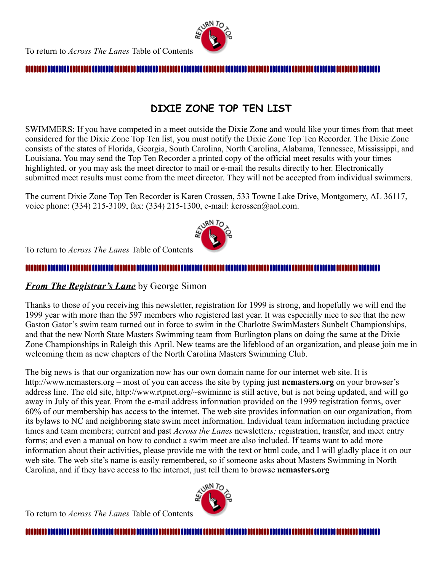

#### 

## **DIXIE ZONE TOP TEN LIST**

<span id="page-2-0"></span>SWIMMERS: If you have competed in a meet outside the Dixie Zone and would like your times from that meet considered for the Dixie Zone Top Ten list, you must notify the Dixie Zone Top Ten Recorder. The Dixie Zone consists of the states of Florida, Georgia, South Carolina, North Carolina, Alabama, Tennessee, Mississippi, and Louisiana. You may send the Top Ten Recorder a printed copy of the official meet results with your times highlighted, or you may ask the meet director to mail or e-mail the results directly to her. Electronically submitted meet results must come from the meet director. They will not be accepted from individual swimmers.

The current Dixie Zone Top Ten Recorder is Karen Crossen, 533 Towne Lake Drive, Montgomery, AL 36117, voice phone: (334) 215-3109, fax: (334) 215-1300, e-mail: kcrossen@aol.com.



To return to *Across The Lanes* Table of Contents

## 

## <span id="page-2-1"></span>*From The Registrar's Lane* by George Simon

Thanks to those of you receiving this newsletter, registration for 1999 is strong, and hopefully we will end the 1999 year with more than the 597 members who registered last year. It was especially nice to see that the new Gaston Gator's swim team turned out in force to swim in the Charlotte SwimMasters Sunbelt Championships, and that the new North State Masters Swimming team from Burlington plans on doing the same at the Dixie Zone Championships in Raleigh this April. New teams are the lifeblood of an organization, and please join me in welcoming them as new chapters of the North Carolina Masters Swimming Club.

The big news is that our organization now has our own domain name for our internet web site. It is http://www.ncmasters.org – most of you can access the site by typing just **ncmasters.org** on your browser's address line. The old site, http://www.rtpnet.org/~swiminnc is still active, but is not being updated, and will go away in July of this year. From the e-mail address information provided on the 1999 registration forms, over 60% of our membership has access to the internet. The web site provides information on our organization, from its bylaws to NC and neighboring state swim meet information. Individual team information including practice times and team members; current and past *Across the Lanes* newsletter*s;* registration, transfer, and meet entry forms; and even a manual on how to conduct a swim meet are also included. If teams want to add more information about their activities, please provide me with the text or html code, and I will gladly place it on our web site. The web site's name is easily remembered, so if someone asks about Masters Swimming in North Carolina, and if they have access to the internet, just tell them to browse **ncmasters.org**

To return to *Across The Lanes* Table of Contents



##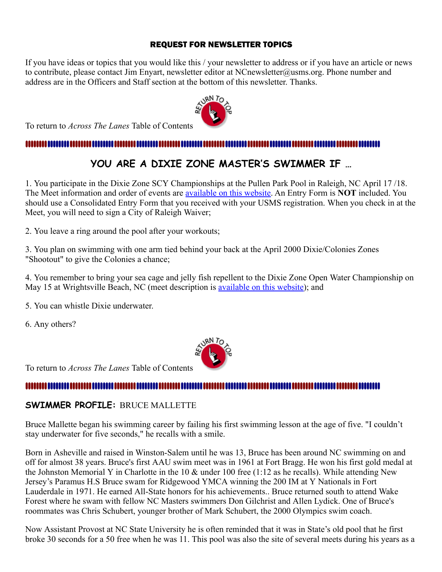## REQUEST FOR NEWSLETTER TOPICS

<span id="page-3-0"></span>If you have ideas or topics that you would like this / your newsletter to address or if you have an article or news to contribute, please contact Jim Enyart, newsletter editor at NCnewsletter@usms.org. Phone number and address are in the Officers and Staff section at the bottom of this newsletter. Thanks.



To return to *Across The Lanes* Table of Contents

## <span id="page-3-1"></span>

## **YOU ARE A DIXIE ZONE MASTER'S SWIMMER IF …**

1. You participate in the Dixie Zone SCY Championships at the Pullen Park Pool in Raleigh, NC April 17 /18. The Meet information and order of events are [available on this website.](http://ncmasters.org/13902des.html) An Entry Form is **NOT** included. You should use a Consolidated Entry Form that you received with your USMS registration. When you check in at the Meet, you will need to sign a City of Raleigh Waiver;

2. You leave a ring around the pool after your workouts;

3. You plan on swimming with one arm tied behind your back at the April 2000 Dixie/Colonies Zones "Shootout" to give the Colonies a chance;

4. You remember to bring your sea cage and jelly fish repellent to the Dixie Zone Open Water Championship on May 15 at Wrightsville Beach, NC (meet description is [available on this website\)](http://ncmasters.org/13903des.html); and

5. You can whistle Dixie underwater.

6. Any others?



To return to *Across The Lanes* Table of Contents

## 

## <span id="page-3-2"></span>**SWIMMER PROFILE:** BRUCE MALLETTE

Bruce Mallette began his swimming career by failing his first swimming lesson at the age of five. "I couldn't stay underwater for five seconds," he recalls with a smile.

Born in Asheville and raised in Winston-Salem until he was 13, Bruce has been around NC swimming on and off for almost 38 years. Bruce's first AAU swim meet was in 1961 at Fort Bragg. He won his first gold medal at the Johnston Memorial Y in Charlotte in the 10  $\&$  under 100 free (1:12 as he recalls). While attending New Jersey's Paramus H.S Bruce swam for Ridgewood YMCA winning the 200 IM at Y Nationals in Fort Lauderdale in 1971. He earned All-State honors for his achievements.. Bruce returned south to attend Wake Forest where he swam with fellow NC Masters swimmers Don Gilchrist and Allen Lydick. One of Bruce's roommates was Chris Schubert, younger brother of Mark Schubert, the 2000 Olympics swim coach.

Now Assistant Provost at NC State University he is often reminded that it was in State's old pool that he first broke 30 seconds for a 50 free when he was 11. This pool was also the site of several meets during his years as a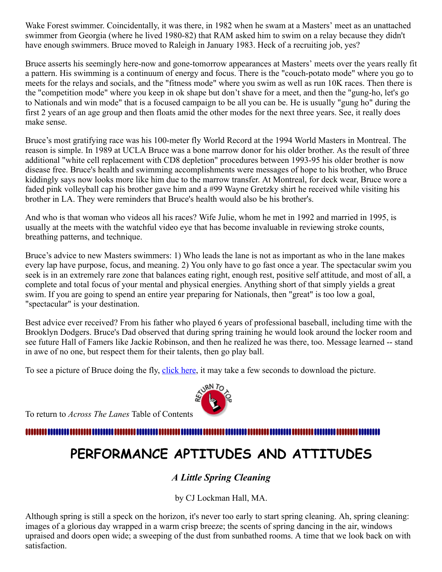Wake Forest swimmer. Coincidentally, it was there, in 1982 when he swam at a Masters' meet as an unattached swimmer from Georgia (where he lived 1980-82) that RAM asked him to swim on a relay because they didn't have enough swimmers. Bruce moved to Raleigh in January 1983. Heck of a recruiting job, yes?

Bruce asserts his seemingly here-now and gone-tomorrow appearances at Masters' meets over the years really fit a pattern. His swimming is a continuum of energy and focus. There is the "couch-potato mode" where you go to meets for the relays and socials, and the "fitness mode" where you swim as well as run 10K races. Then there is the "competition mode" where you keep in ok shape but don't shave for a meet, and then the "gung-ho, let's go to Nationals and win mode" that is a focused campaign to be all you can be. He is usually "gung ho" during the first 2 years of an age group and then floats amid the other modes for the next three years. See, it really does make sense.

Bruce's most gratifying race was his 100-meter fly World Record at the 1994 World Masters in Montreal. The reason is simple. In 1989 at UCLA Bruce was a bone marrow donor for his older brother. As the result of three additional "white cell replacement with CD8 depletion" procedures between 1993-95 his older brother is now disease free. Bruce's health and swimming accomplishments were messages of hope to his brother, who Bruce kiddingly says now looks more like him due to the marrow transfer. At Montreal, for deck wear, Bruce wore a faded pink volleyball cap his brother gave him and a #99 Wayne Gretzky shirt he received while visiting his brother in LA. They were reminders that Bruce's health would also be his brother's.

And who is that woman who videos all his races? Wife Julie, whom he met in 1992 and married in 1995, is usually at the meets with the watchful video eye that has become invaluable in reviewing stroke counts, breathing patterns, and technique.

Bruce's advice to new Masters swimmers: 1) Who leads the lane is not as important as who in the lane makes every lap have purpose, focus, and meaning. 2) You only have to go fast once a year. The spectacular swim you seek is in an extremely rare zone that balances eating right, enough rest, positive self attitude, and most of all, a complete and total focus of your mental and physical energies. Anything short of that simply yields a great swim. If you are going to spend an entire year preparing for Nationals, then "great" is too low a goal, "spectacular" is your destination.

Best advice ever received? From his father who played 6 years of professional baseball, including time with the Brooklyn Dodgers. Bruce's Dad observed that during spring training he would look around the locker room and see future Hall of Famers like Jackie Robinson, and then he realized he was there, too. Message learned -- stand in awe of no one, but respect them for their talents, then go play ball.

To see a picture of Bruce doing the fly, [click here](http://ncmasters.org/butterfly.html#bruce), it may take a few seconds to download the picture.

To return to *Across The Lanes* Table of Contents

#### <span id="page-4-0"></span>,,,,,,,,,,,,,,

# **PERFORMANCE APTITUDES AND ATTITUDES**

## *A Little Spring Cleaning*

by CJ Lockman Hall, MA.

Although spring is still a speck on the horizon, it's never too early to start spring cleaning. Ah, spring cleaning: images of a glorious day wrapped in a warm crisp breeze; the scents of spring dancing in the air, windows upraised and doors open wide; a sweeping of the dust from sunbathed rooms. A time that we look back on with satisfaction.

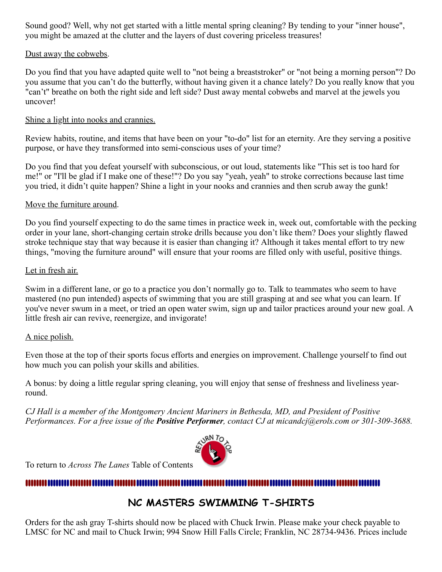Sound good? Well, why not get started with a little mental spring cleaning? By tending to your "inner house", you might be amazed at the clutter and the layers of dust covering priceless treasures!

## Dust away the cobwebs.

Do you find that you have adapted quite well to "not being a breaststroker" or "not being a morning person"? Do you assume that you can't do the butterfly, without having given it a chance lately? Do you really know that you "can't" breathe on both the right side and left side? Dust away mental cobwebs and marvel at the jewels you uncover!

## Shine a light into nooks and crannies.

Review habits, routine, and items that have been on your "to-do" list for an eternity. Are they serving a positive purpose, or have they transformed into semi-conscious uses of your time?

Do you find that you defeat yourself with subconscious, or out loud, statements like "This set is too hard for me!" or "I'll be glad if I make one of these!"? Do you say "yeah, yeah" to stroke corrections because last time you tried, it didn't quite happen? Shine a light in your nooks and crannies and then scrub away the gunk!

## Move the furniture around.

Do you find yourself expecting to do the same times in practice week in, week out, comfortable with the pecking order in your lane, short-changing certain stroke drills because you don't like them? Does your slightly flawed stroke technique stay that way because it is easier than changing it? Although it takes mental effort to try new things, "moving the furniture around" will ensure that your rooms are filled only with useful, positive things.

### Let in fresh air.

Swim in a different lane, or go to a practice you don't normally go to. Talk to teammates who seem to have mastered (no pun intended) aspects of swimming that you are still grasping at and see what you can learn. If you've never swum in a meet, or tried an open water swim, sign up and tailor practices around your new goal. A little fresh air can revive, reenergize, and invigorate!

### A nice polish.

Even those at the top of their sports focus efforts and energies on improvement. Challenge yourself to find out how much you can polish your skills and abilities.

A bonus: by doing a little regular spring cleaning, you will enjoy that sense of freshness and liveliness yearround.

*CJ Hall is a member of the Montgomery Ancient Mariners in Bethesda, MD, and President of Positive Performances. For a free issue of the Positive Performer, contact CJ at micandcj@erols.com or 301-309-3688.*



To return to *Across The Lanes* Table of Contents

## <span id="page-5-0"></span>,,,,,,,,,,,,,,,,,,,,,,,,,,,,,,

## **NC MASTERS SWIMMING T-SHIRTS**

Orders for the ash gray T-shirts should now be placed with Chuck Irwin. Please make your check payable to LMSC for NC and mail to Chuck Irwin; 994 Snow Hill Falls Circle; Franklin, NC 28734-9436. Prices include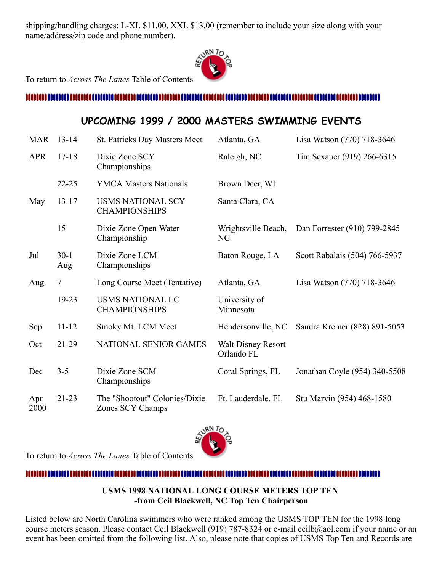shipping/handling charges: L-XL \$11.00, XXL \$13.00 (remember to include your size along with your name/address/zip code and phone number).



To return to *Across The Lanes* Table of Contents

#### <span id="page-6-0"></span>

## **UPCOMING 1999 / 2000 MASTERS SWIMMING EVENTS**

| <b>MAR</b> | $13 - 14$      | St. Patricks Day Masters Meet                    | Atlanta, GA                             | Lisa Watson (770) 718-3646    |
|------------|----------------|--------------------------------------------------|-----------------------------------------|-------------------------------|
| <b>APR</b> | $17 - 18$      | Dixie Zone SCY<br>Championships                  | Raleigh, NC                             | Tim Sexauer (919) 266-6315    |
|            | $22 - 25$      | <b>YMCA Masters Nationals</b>                    | Brown Deer, WI                          |                               |
| May        | $13 - 17$      | <b>USMS NATIONAL SCY</b><br><b>CHAMPIONSHIPS</b> | Santa Clara, CA                         |                               |
|            | 15             | Dixie Zone Open Water<br>Championship            | Wrightsville Beach,<br>NC               | Dan Forrester (910) 799-2845  |
| Jul        | $30-1$<br>Aug  | Dixie Zone LCM<br>Championships                  | Baton Rouge, LA                         | Scott Rabalais (504) 766-5937 |
| Aug        | $\overline{7}$ | Long Course Meet (Tentative)                     | Atlanta, GA                             | Lisa Watson (770) 718-3646    |
|            |                |                                                  |                                         |                               |
|            | 19-23          | <b>USMS NATIONAL LC</b><br><b>CHAMPIONSHIPS</b>  | University of<br>Minnesota              |                               |
| Sep        | $11 - 12$      | Smoky Mt. LCM Meet                               | Hendersonville, NC                      | Sandra Kremer (828) 891-5053  |
| Oct        | $21-29$        | NATIONAL SENIOR GAMES                            | <b>Walt Disney Resort</b><br>Orlando FL |                               |
| Dec        | $3 - 5$        | Dixie Zone SCM<br>Championships                  | Coral Springs, FL                       | Jonathan Coyle (954) 340-5508 |



To return to *Across The Lanes* Table of Contents

<span id="page-6-1"></span>

## **USMS 1998 NATIONAL LONG COURSE METERS TOP TEN -from Ceil Blackwell, NC Top Ten Chairperson**

Listed below are North Carolina swimmers who were ranked among the USMS TOP TEN for the 1998 long course meters season. Please contact Ceil Blackwell (919) 787-8324 or e-mail ceilb@aol.com if your name or an event has been omitted from the following list. Also, please note that copies of USMS Top Ten and Records are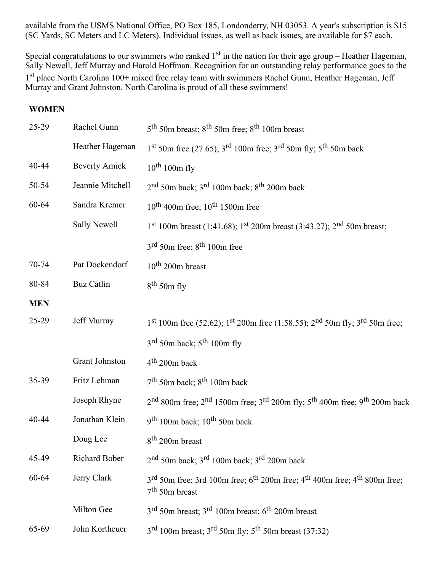available from the USMS National Office, PO Box 185, Londonderry, NH 03053. A year's subscription is \$15 (SC Yards, SC Meters and LC Meters). Individual issues, as well as back issues, are available for \$7 each.

Special congratulations to our swimmers who ranked  $1<sup>st</sup>$  in the nation for their age group – Heather Hageman, Sally Newell, Jeff Murray and Harold Hoffman. Recognition for an outstanding relay performance goes to the 1<sup>st</sup> place North Carolina 100+ mixed free relay team with swimmers Rachel Gunn, Heather Hageman, Jeff Murray and Grant Johnston. North Carolina is proud of all these swimmers!

## **WOMEN**

| 25-29      | Rachel Gunn          | $5th$ 50m breast; $8th$ 50m free; $8th$ 100m breast                                                                                           |  |
|------------|----------------------|-----------------------------------------------------------------------------------------------------------------------------------------------|--|
|            | Heather Hageman      | $1^{st}$ 50m free (27.65); 3 <sup>rd</sup> 100m free; 3 <sup>rd</sup> 50m fly; 5 <sup>th</sup> 50m back                                       |  |
| 40-44      | <b>Beverly Amick</b> | $10^{th}$ 100m fly                                                                                                                            |  |
| 50-54      | Jeannie Mitchell     | $2nd$ 50m back; $3rd$ 100m back; $8th$ 200m back                                                                                              |  |
| 60-64      | Sandra Kremer        | $10^{\text{th}}$ 400m free; $10^{\text{th}}$ 1500m free                                                                                       |  |
|            | Sally Newell         | $1st 100m$ breast (1:41.68); $1st 200m$ breast (3:43.27); $2nd 50m$ breast;                                                                   |  |
|            |                      | 3 <sup>rd</sup> 50m free; 8 <sup>th</sup> 100m free                                                                                           |  |
| 70-74      | Pat Dockendorf       | $10^{th}$ 200m breast                                                                                                                         |  |
| 80-84      | <b>Buz Catlin</b>    | $8th$ 50m fly                                                                                                                                 |  |
| <b>MEN</b> |                      |                                                                                                                                               |  |
| 25-29      | Jeff Murray          | 1 <sup>st</sup> 100m free (52.62); 1 <sup>st</sup> 200m free (1:58.55); 2 <sup>nd</sup> 50m fly; 3 <sup>rd</sup> 50m free;                    |  |
|            |                      | $3^{\text{rd}}$ 50m back; $5^{\text{th}}$ 100m fly                                                                                            |  |
|            | Grant Johnston       | $4th$ 200m back                                                                                                                               |  |
| 35-39      | Fritz Lehman         | $7th$ 50m back; $8th$ 100m back                                                                                                               |  |
|            | Joseph Rhyne         | 2 <sup>nd</sup> 800m free; 2 <sup>nd</sup> 1500m free; 3 <sup>rd</sup> 200m fly; 5 <sup>th</sup> 400m free; 9 <sup>th</sup> 200m back         |  |
| 40-44      | Jonathan Klein       | $9th 100m$ back; $10th 50m$ back                                                                                                              |  |
|            | Doug Lee             | 8 <sup>th</sup> 200m breast                                                                                                                   |  |
| 45-49      | Richard Bober        | $2nd$ 50m back; $3rd$ 100m back; $3rd$ 200m back                                                                                              |  |
| 60-64      | Jerry Clark          | 3 <sup>rd</sup> 50m free; 3rd 100m free; 6 <sup>th</sup> 200m free; 4 <sup>th</sup> 400m free; 4 <sup>th</sup> 800m free;<br>$7th$ 50m breast |  |
|            | Milton Gee           | $3rd$ 50m breast; $3rd$ 100m breast; $6th$ 200m breast                                                                                        |  |
| 65-69      | John Kortheuer       | $3rd$ 100m breast; $3rd$ 50m fly; $5th$ 50m breast (37:32)                                                                                    |  |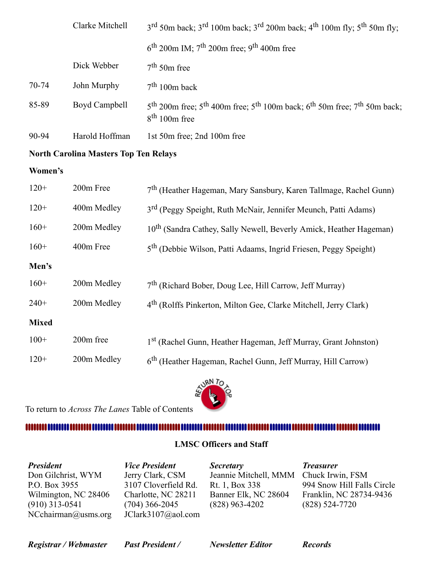|       | Clarke Mitchell | $3^{\text{rd}}$ 50m back; $3^{\text{rd}}$ 100m back; $3^{\text{rd}}$ 200m back; $4^{\text{th}}$ 100m fly; $5^{\text{th}}$ 50m fly; |  |  |
|-------|-----------------|------------------------------------------------------------------------------------------------------------------------------------|--|--|
|       |                 | $6th$ 200m IM; 7 <sup>th</sup> 200m free; 9 <sup>th</sup> 400m free                                                                |  |  |
|       | Dick Webber     | $7th$ 50m free                                                                                                                     |  |  |
| 70-74 | John Murphy     | $7th 100m$ back                                                                                                                    |  |  |
| 85-89 | Boyd Campbell   | $5th$ 200m free; $5th$ 400m free; $5th$ 100m back; $6th$ 50m free; $7th$ 50m back;<br>$8th 100m$ free                              |  |  |
| 90-94 | Harold Hoffman  | 1st 50m free; 2nd 100m free                                                                                                        |  |  |

## **North Carolina Masters Top Ten Relays**

### **Women's**

| $120+$       | 200m Free   | 7 <sup>th</sup> (Heather Hageman, Mary Sansbury, Karen Tallmage, Rachel Gunn)  |  |
|--------------|-------------|--------------------------------------------------------------------------------|--|
| $120+$       | 400m Medley | 3 <sup>rd</sup> (Peggy Speight, Ruth McNair, Jennifer Meunch, Patti Adams)     |  |
| $160+$       | 200m Medley | 10 <sup>th</sup> (Sandra Cathey, Sally Newell, Beverly Amick, Heather Hageman) |  |
| $160+$       | 400m Free   | 5 <sup>th</sup> (Debbie Wilson, Patti Adaams, Ingrid Friesen, Peggy Speight)   |  |
| Men's        |             |                                                                                |  |
| $160+$       | 200m Medley | $7th$ (Richard Bober, Doug Lee, Hill Carrow, Jeff Murray)                      |  |
| $240+$       | 200m Medley | 4 <sup>th</sup> (Rolffs Pinkerton, Milton Gee, Clarke Mitchell, Jerry Clark)   |  |
| <b>Mixed</b> |             |                                                                                |  |
| $100+$       | 200m free   | 1 <sup>st</sup> (Rachel Gunn, Heather Hageman, Jeff Murray, Grant Johnston)    |  |
| $120+$       | 200m Medley | 6 <sup>th</sup> (Heather Hageman, Rachel Gunn, Jeff Murray, Hill Carrow)       |  |

To return to *Across The Lanes* Table of Contents

### <span id="page-8-0"></span>

## **LMSC Officers and Staff**

| <b>President</b>       | <b>Vice President</b> | <b>Secretary</b>      | <b>Treasurer</b>           |
|------------------------|-----------------------|-----------------------|----------------------------|
| Don Gilchrist, WYM     | Jerry Clark, CSM      | Jeannie Mitchell, MMM | Chuck Irwin, FSM           |
| P.O. Box 3955          | 3107 Cloverfield Rd.  | Rt. 1, Box 338        | 994 Snow Hill Falls Circle |
| Wilmington, NC 28406   | Charlotte, NC 28211   | Banner Elk, NC 28604  | Franklin, NC 28734-9436    |
| $(910)$ 313-0541       | $(704)$ 366-2045      | $(828)$ 963-4202      | $(828)$ 524-7720           |
| $NC$ chairman@usms.org | JClark3107@aol.com    |                       |                            |

*Registrar / Webmaster Past President / Newsletter Editor Records*